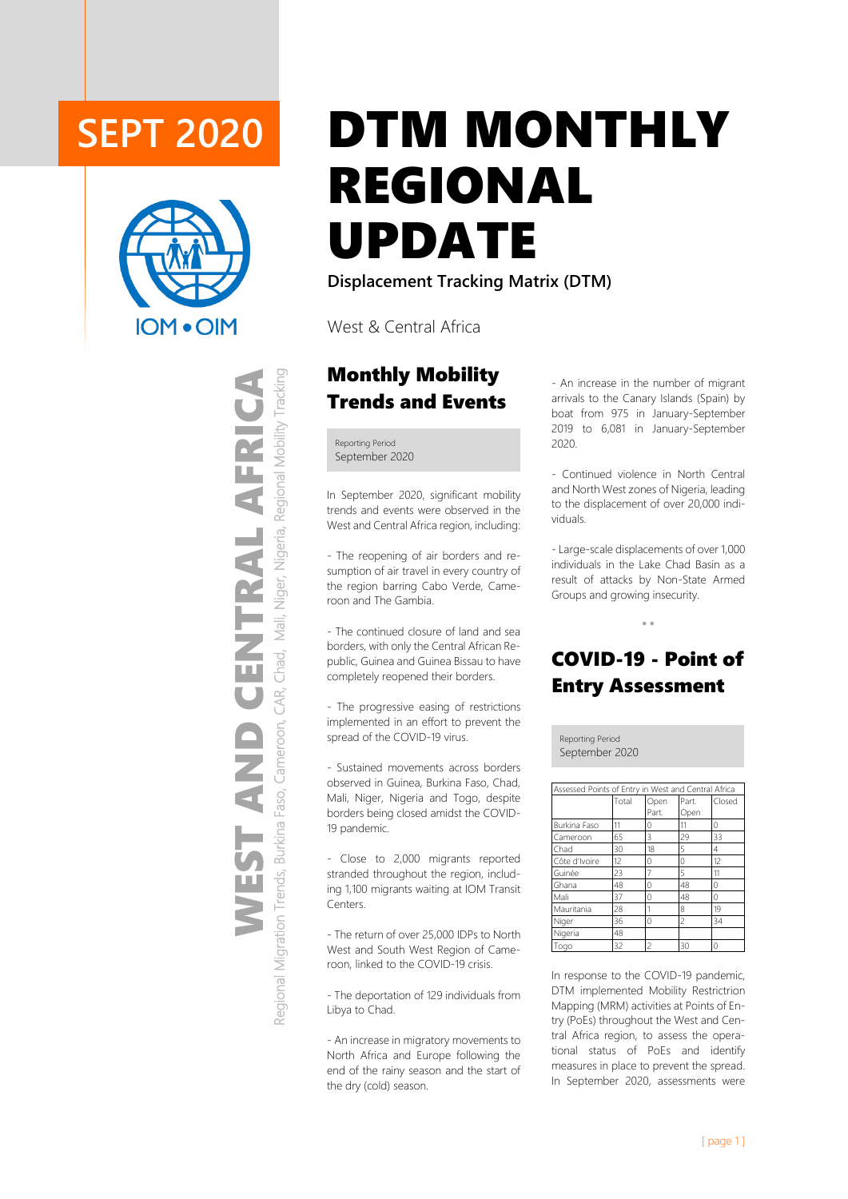

Regional Migration Trends, Burkina Faso, Cameroon, CAR, Chad, Mali, Niger, Nigeria, Regional Mobility Tracking WEST AND CENTRAL AFRICA Regional Mobility Tracking WEST AND CENTRAL AFRICA Chad, Mali, Niger, Nigeria, CAR, Cameroon, Regional Migration Trends, Burkina Faso,

# **SEPT 2020** DTM MONTHLY REGIONAL UPDATE

**Displacement Tracking Matrix (DTM)**

West & Central Africa

### Monthly Mobility Trends and Events

Reporting Period September 2020

In September 2020, significant mobility trends and events were observed in the West and Central Africa region, including:

- The reopening of air borders and resumption of air travel in every country of the region barring Cabo Verde, Cameroon and The Gambia.

- The continued closure of land and sea borders, with only the Central African Republic, Guinea and Guinea Bissau to have completely reopened their borders.

- The progressive easing of restrictions implemented in an effort to prevent the spread of the COVID-19 virus.

- Sustained movements across borders observed in Guinea, Burkina Faso, Chad, Mali, Niger, Nigeria and Togo, despite borders being closed amidst the COVID-19 pandemic.

- Close to 2,000 migrants reported stranded throughout the region, including 1,100 migrants waiting at IOM Transit Centers.

- The return of over 25,000 IDPs to North West and South West Region of Cameroon, linked to the COVID-19 crisis.

- The deportation of 129 individuals from Libya to Chad.

- An increase in migratory movements to North Africa and Europe following the end of the rainy season and the start of the dry (cold) season.

- An increase in the number of migrant arrivals to the Canary Islands (Spain) by boat from 975 in January-September 2019 to 6,081 in January-September 2020.

- Continued violence in North Central and North West zones of Nigeria, leading to the displacement of over 20,000 individuals.

- Large-scale displacements of over 1,000 individuals in the Lake Chad Basin as a result of attacks by Non-State Armed Groups and growing insecurity.

## COVID-19 - Point of Entry Assessment

● ●

Reporting Period September 2020

| Assessed Points of Entry in West and Central Africa |           |                |       |           |
|-----------------------------------------------------|-----------|----------------|-------|-----------|
|                                                     | Total     | Open           | Part. | Closed    |
|                                                     |           | Part.          | Open  |           |
| Burkina Faso                                        | 11        | 0              | 11    | 0         |
| Cameroon                                            | 65        | 3              | 29    | 33        |
| Chad                                                | 30        | 18             | 5     | 4         |
| Côte d'Ivoire                                       | $12^{12}$ | 0              | O     | $12^{12}$ |
| Guinée                                              | 23        | 7              | 5     | 11        |
| Ghana                                               | 48        | 0              | 48    | 0         |
| Mali                                                | 37        | 0              | 48    | 0         |
| Mauritania                                          | 28        |                | 8     | 19        |
| Niger                                               | 36        | 0              | 2     | 34        |
| Nigeria                                             | 48        |                |       |           |
| Togo                                                | 32        | $\overline{c}$ | 30    |           |

In response to the COVID-19 pandemic, DTM implemented Mobility Restrictrion Mapping (MRM) activities at Points of Entry (PoEs) throughout the West and Central Africa region, to assess the operational status of PoEs and identify measures in place to prevent the spread. In September 2020, assessments were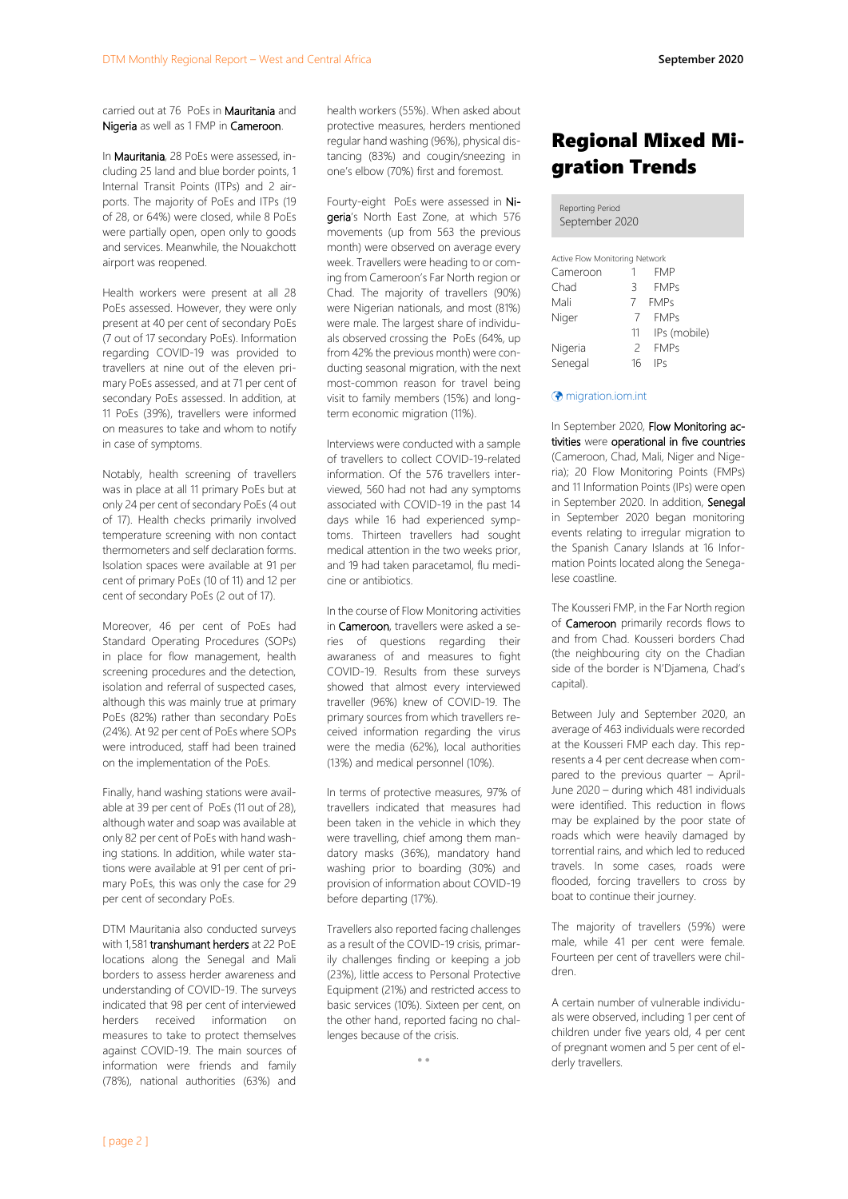### carried out at 76 PoEs in Mauritania and Nigeria as well as 1 FMP in Cameroon.

In Mauritania, 28 PoEs were assessed, including 25 land and blue border points, 1 Internal Transit Points (ITPs) and 2 airports. The majority of PoEs and ITPs (19 of 28, or 64%) were closed, while 8 PoEs were partially open, open only to goods and services. Meanwhile, the Nouakchott airport was reopened.

Health workers were present at all 28 PoEs assessed. However, they were only present at 40 per cent of secondary PoEs (7 out of 17 secondary PoEs). Information regarding COVID-19 was provided to travellers at nine out of the eleven primary PoEs assessed, and at 71 per cent of secondary PoEs assessed. In addition, at 11 PoEs (39%), travellers were informed on measures to take and whom to notify in case of symptoms.

Notably, health screening of travellers was in place at all 11 primary PoEs but at only 24 per cent of secondary PoEs (4 out of 17). Health checks primarily involved temperature screening with non contact thermometers and self declaration forms. Isolation spaces were available at 91 per cent of primary PoEs (10 of 11) and 12 per cent of secondary PoEs (2 out of 17).

Moreover, 46 per cent of PoEs had Standard Operating Procedures (SOPs) in place for flow management, health screening procedures and the detection, isolation and referral of suspected cases, although this was mainly true at primary PoEs (82%) rather than secondary PoEs (24%). At 92 per cent of PoEs where SOPs were introduced, staff had been trained on the implementation of the PoEs.

Finally, hand washing stations were available at 39 per cent of PoEs (11 out of 28), although water and soap was available at only 82 per cent of PoEs with hand washing stations. In addition, while water stations were available at 91 per cent of primary PoEs, this was only the case for 29 per cent of secondary PoEs.

DTM Mauritania also conducted surveys with 1,581 transhumant herders at 22 PoE locations along the Senegal and Mali borders to assess herder awareness and understanding of COVID-19. The surveys indicated that 98 per cent of interviewed herders received information on measures to take to protect themselves against COVID-19. The main sources of information were friends and family (78%), national authorities (63%) and

health workers (55%). When asked about protective measures, herders mentioned regular hand washing (96%), physical distancing (83%) and cougin/sneezing in one's elbow (70%) first and foremost.

Fourty-eight PoEs were assessed in Nigeria's North East Zone, at which 576 movements (up from 563 the previous month) were observed on average every week. Travellers were heading to or coming from Cameroon's Far North region or Chad. The majority of travellers (90%) were Nigerian nationals, and most (81%) were male. The largest share of individuals observed crossing the PoEs (64%, up from 42% the previous month) were conducting seasonal migration, with the next most-common reason for travel being visit to family members (15%) and longterm economic migration (11%).

Interviews were conducted with a sample of travellers to collect COVID-19-related information. Of the 576 travellers interviewed, 560 had not had any symptoms associated with COVID-19 in the past 14 days while 16 had experienced symptoms. Thirteen travellers had sought medical attention in the two weeks prior, and 19 had taken paracetamol, flu medicine or antibiotics.

In the course of Flow Monitoring activities in Cameroon, travellers were asked a series of questions regarding their awaraness of and measures to fight COVID-19. Results from these surveys showed that almost every interviewed traveller (96%) knew of COVID-19. The primary sources from which travellers received information regarding the virus were the media (62%), local authorities (13%) and medical personnel (10%).

In terms of protective measures, 97% of travellers indicated that measures had been taken in the vehicle in which they were travelling, chief among them mandatory masks (36%), mandatory hand washing prior to boarding (30%) and provision of information about COVID-19 before departing (17%).

Travellers also reported facing challenges as a result of the COVID-19 crisis, primarily challenges finding or keeping a job (23%), little access to Personal Protective Equipment (21%) and restricted access to basic services (10%). Sixteen per cent, on the other hand, reported facing no challenges because of the crisis.

● ●

### Regional Mixed Migration Trends

#### Reporting Period September 2020

| Active Flow Monitoring Network |               |                 |
|--------------------------------|---------------|-----------------|
| Cameroon                       |               | <b>FMP</b>      |
| Chad                           | Β             | <b>FMPs</b>     |
| Mali                           | 7             | <b>FMPs</b>     |
| Niger                          | 7             | <b>FMPs</b>     |
|                                | 11            | IPs (mobile)    |
| Nigeria                        | $\mathcal{P}$ | <b>FMPs</b>     |
| Senegal                        | 16            | IP <sub>S</sub> |
|                                |               |                 |

#### [migration.iom.int](https://migration.iom.int/)

In September 2020, Flow Monitoring activities were operational in five countries (Cameroon, Chad, Mali, Niger and Nigeria); 20 Flow Monitoring Points (FMPs) and 11 Information Points (IPs) were open in September 2020. In addition, Senegal in September 2020 began monitoring events relating to irregular migration to the Spanish Canary Islands at 16 Information Points located along the Senegalese coastline.

The Kousseri FMP, in the Far North region of Cameroon primarily records flows to and from Chad. Kousseri borders Chad (the neighbouring city on the Chadian side of the border is N'Djamena, Chad's capital).

Between July and September 2020, an average of 463 individuals were recorded at the Kousseri FMP each day. This represents a 4 per cent decrease when compared to the previous quarter – April-June 2020 – during which 481 individuals were identified. This reduction in flows may be explained by the poor state of roads which were heavily damaged by torrential rains, and which led to reduced travels. In some cases, roads were flooded, forcing travellers to cross by boat to continue their journey.

The majority of travellers (59%) were male, while 41 per cent were female. Fourteen per cent of travellers were children.

A certain number of vulnerable individuals were observed, including 1 per cent of children under five years old, 4 per cent of pregnant women and 5 per cent of elderly travellers.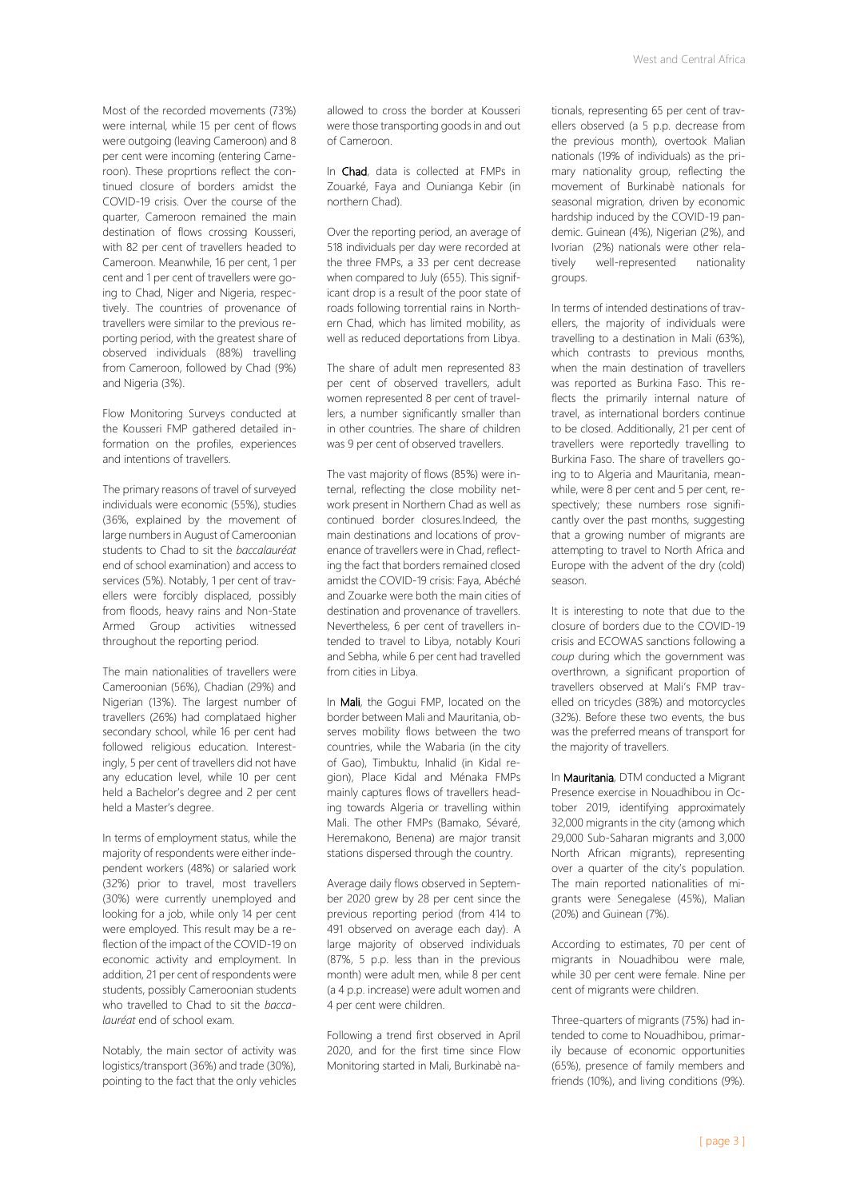Most of the recorded movements (73%) were internal, while 15 per cent of flows were outgoing (leaving Cameroon) and 8 per cent were incoming (entering Cameroon). These proprtions reflect the continued closure of borders amidst the COVID-19 crisis. Over the course of the quarter, Cameroon remained the main destination of flows crossing Kousseri, with 82 per cent of travellers headed to Cameroon. Meanwhile, 16 per cent, 1 per cent and 1 per cent of travellers were going to Chad, Niger and Nigeria, respectively. The countries of provenance of travellers were similar to the previous reporting period, with the greatest share of observed individuals (88%) travelling from Cameroon, followed by Chad (9%) and Nigeria (3%).

Flow Monitoring Surveys conducted at the Kousseri FMP gathered detailed information on the profiles, experiences and intentions of travellers.

The primary reasons of travel of surveyed individuals were economic (55%), studies (36%, explained by the movement of large numbers in August of Cameroonian students to Chad to sit the *baccalauréat* end of school examination) and access to services (5%). Notably, 1 per cent of travellers were forcibly displaced, possibly from floods, heavy rains and Non-State Armed Group activities witnessed throughout the reporting period.

The main nationalities of travellers were Cameroonian (56%), Chadian (29%) and Nigerian (13%). The largest number of travellers (26%) had complataed higher secondary school, while 16 per cent had followed religious education. Interestingly, 5 per cent of travellers did not have any education level, while 10 per cent held a Bachelor's degree and 2 per cent held a Master's degree.

In terms of employment status, while the majority of respondents were either independent workers (48%) or salaried work (32%) prior to travel, most travellers (30%) were currently unemployed and looking for a job, while only 14 per cent were employed. This result may be a reflection of the impact of the COVID-19 on economic activity and employment. In addition, 21 per cent of respondents were students, possibly Cameroonian students who travelled to Chad to sit the *baccalauréat* end of school exam.

Notably, the main sector of activity was logistics/transport (36%) and trade (30%), pointing to the fact that the only vehicles

allowed to cross the border at Kousseri were those transporting goods in and out of Cameroon.

In **Chad**, data is collected at FMPs in Zouarké, Faya and Ounianga Kebir (in northern Chad).

Over the reporting period, an average of 518 individuals per day were recorded at the three FMPs, a 33 per cent decrease when compared to July (655). This significant drop is a result of the poor state of roads following torrential rains in Northern Chad, which has limited mobility, as well as reduced deportations from Libya.

The share of adult men represented 83 per cent of observed travellers, adult women represented 8 per cent of travellers, a number significantly smaller than in other countries. The share of children was 9 per cent of observed travellers.

The vast majority of flows (85%) were internal, reflecting the close mobility network present in Northern Chad as well as continued border closures.Indeed, the main destinations and locations of provenance of travellers were in Chad, reflecting the fact that borders remained closed amidst the COVID-19 crisis: Faya, Abéché and Zouarke were both the main cities of destination and provenance of travellers. Nevertheless, 6 per cent of travellers intended to travel to Libya, notably Kouri and Sebha, while 6 per cent had travelled from cities in Libya.

In Mali, the Gogui FMP, located on the border between Mali and Mauritania, observes mobility flows between the two countries, while the Wabaria (in the city of Gao), Timbuktu, Inhalid (in Kidal region), Place Kidal and Ménaka FMPs mainly captures flows of travellers heading towards Algeria or travelling within Mali. The other FMPs (Bamako, Sévaré, Heremakono, Benena) are major transit stations dispersed through the country.

Average daily flows observed in September 2020 grew by 28 per cent since the previous reporting period (from 414 to 491 observed on average each day). A large majority of observed individuals (87%, 5 p.p. less than in the previous month) were adult men, while 8 per cent (a 4 p.p. increase) were adult women and 4 per cent were children.

Following a trend first observed in April 2020, and for the first time since Flow Monitoring started in Mali, Burkinabè nationals, representing 65 per cent of travellers observed (a 5 p.p. decrease from the previous month), overtook Malian nationals (19% of individuals) as the primary nationality group, reflecting the movement of Burkinabè nationals for seasonal migration, driven by economic hardship induced by the COVID-19 pandemic. Guinean (4%), Nigerian (2%), and Ivorian (2%) nationals were other relatively well-represented nationality groups.

In terms of intended destinations of travellers, the majority of individuals were travelling to a destination in Mali (63%), which contrasts to previous months, when the main destination of travellers was reported as Burkina Faso. This reflects the primarily internal nature of travel, as international borders continue to be closed. Additionally, 21 per cent of travellers were reportedly travelling to Burkina Faso. The share of travellers going to to Algeria and Mauritania, meanwhile, were 8 per cent and 5 per cent. respectively; these numbers rose significantly over the past months, suggesting that a growing number of migrants are attempting to travel to North Africa and Europe with the advent of the dry (cold) season.

It is interesting to note that due to the closure of borders due to the COVID-19 crisis and ECOWAS sanctions following a *coup* during which the government was overthrown, a significant proportion of travellers observed at Mali's FMP travelled on tricycles (38%) and motorcycles (32%). Before these two events, the bus was the preferred means of transport for the majority of travellers.

In Mauritania, DTM conducted a Migrant Presence exercise in Nouadhibou in October 2019, identifying approximately 32,000 migrants in the city (among which 29,000 Sub-Saharan migrants and 3,000 North African migrants), representing over a quarter of the city's population. The main reported nationalities of migrants were Senegalese (45%), Malian (20%) and Guinean (7%).

According to estimates, 70 per cent of migrants in Nouadhibou were male, while 30 per cent were female. Nine per cent of migrants were children.

Three-quarters of migrants (75%) had intended to come to Nouadhibou, primarily because of economic opportunities (65%), presence of family members and friends (10%), and living conditions (9%).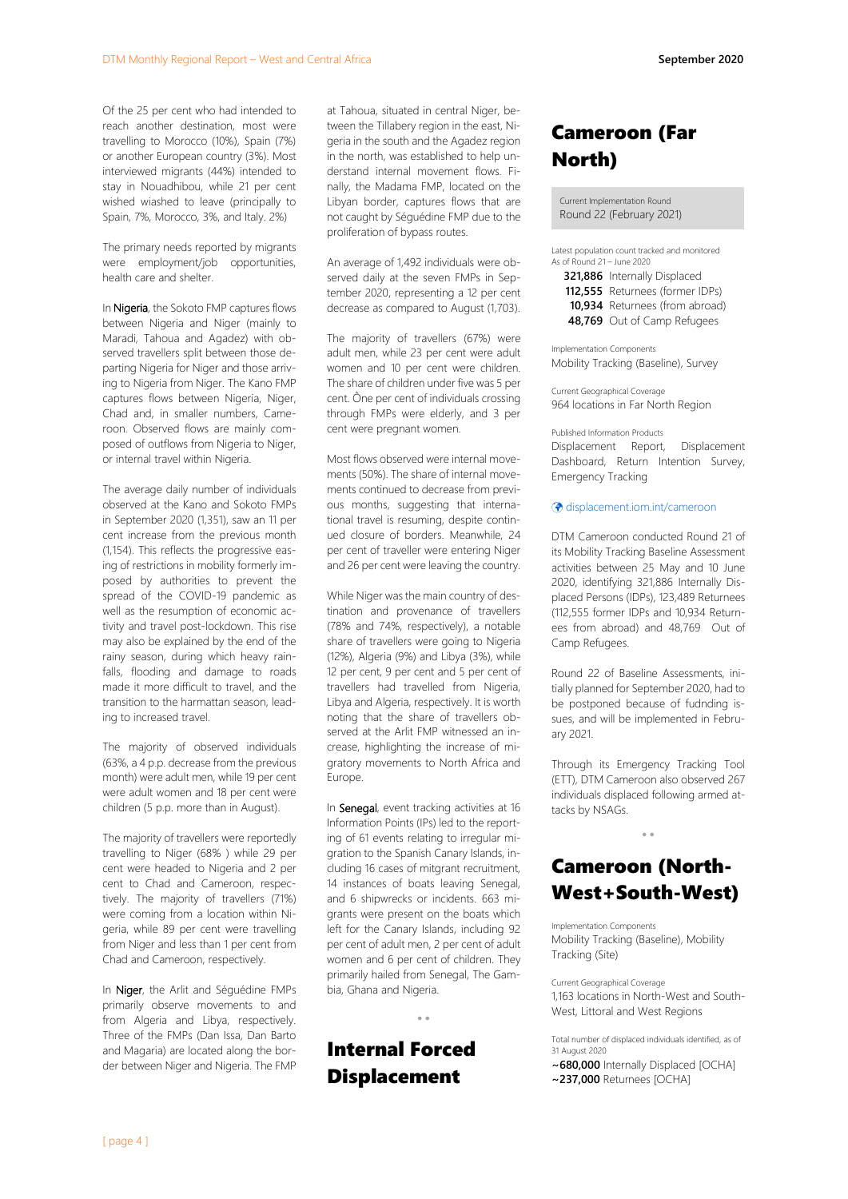Of the 25 per cent who had intended to reach another destination, most were travelling to Morocco (10%), Spain (7%) or another European country (3%). Most interviewed migrants (44%) intended to stay in Nouadhibou, while 21 per cent wished wiashed to leave (principally to Spain, 7%, Morocco, 3%, and Italy. 2%)

The primary needs reported by migrants were employment/job opportunities, health care and shelter.

In Nigeria, the Sokoto FMP captures flows between Nigeria and Niger (mainly to Maradi, Tahoua and Agadez) with observed travellers split between those departing Nigeria for Niger and those arriving to Nigeria from Niger. The Kano FMP captures flows between Nigeria, Niger, Chad and, in smaller numbers, Cameroon. Observed flows are mainly composed of outflows from Nigeria to Niger, or internal travel within Nigeria.

The average daily number of individuals observed at the Kano and Sokoto FMPs in September 2020 (1,351), saw an 11 per cent increase from the previous month (1,154). This reflects the progressive easing of restrictions in mobility formerly imposed by authorities to prevent the spread of the COVID-19 pandemic as well as the resumption of economic activity and travel post-lockdown. This rise may also be explained by the end of the rainy season, during which heavy rainfalls, flooding and damage to roads made it more difficult to travel, and the transition to the harmattan season, leading to increased travel.

The majority of observed individuals (63%, a 4 p.p. decrease from the previous month) were adult men, while 19 per cent were adult women and 18 per cent were children (5 p.p. more than in August).

The majority of travellers were reportedly travelling to Niger (68% ) while 29 per cent were headed to Nigeria and 2 per cent to Chad and Cameroon, respectively. The majority of travellers (71%) were coming from a location within Nigeria, while 89 per cent were travelling from Niger and less than 1 per cent from Chad and Cameroon, respectively.

In Niger, the Arlit and Séguédine FMPs primarily observe movements to and from Algeria and Libya, respectively. Three of the FMPs (Dan Issa, Dan Barto and Magaria) are located along the border between Niger and Nigeria. The FMP

at Tahoua, situated in central Niger, between the Tillabery region in the east, Nigeria in the south and the Agadez region in the north, was established to help understand internal movement flows. Finally, the Madama FMP, located on the Libyan border, captures flows that are not caught by Séguédine FMP due to the proliferation of bypass routes.

An average of 1,492 individuals were observed daily at the seven FMPs in September 2020, representing a 12 per cent decrease as compared to August (1,703).

The majority of travellers (67%) were adult men, while 23 per cent were adult women and 10 per cent were children. The share of children under five was 5 per cent. Ône per cent of individuals crossing through FMPs were elderly, and 3 per cent were pregnant women.

Most flows observed were internal movements (50%). The share of internal movements continued to decrease from previous months, suggesting that international travel is resuming, despite continued closure of borders. Meanwhile, 24 per cent of traveller were entering Niger and 26 per cent were leaving the country.

While Niger was the main country of destination and provenance of travellers (78% and 74%, respectively), a notable share of travellers were going to Nigeria (12%), Algeria (9%) and Libya (3%), while 12 per cent, 9 per cent and 5 per cent of travellers had travelled from Nigeria, Libya and Algeria, respectively. It is worth noting that the share of travellers observed at the Arlit FMP witnessed an increase, highlighting the increase of migratory movements to North Africa and Europe.

In Senegal, event tracking activities at 16 Information Points (IPs) led to the reporting of 61 events relating to irregular migration to the Spanish Canary Islands, including 16 cases of mitgrant recruitment, 14 instances of boats leaving Senegal, and 6 shipwrecks or incidents. 663 migrants were present on the boats which left for the Canary Islands, including 92 per cent of adult men, 2 per cent of adult women and 6 per cent of children. They primarily hailed from Senegal, The Gambia, Ghana and Nigeria.

● ●

### Internal Forced **Displacement**

### Cameroon (Far North)

Current Implementation Round Round 22 (February 2021)

Latest population count tracked and monitored As of Round 21 – June 2020 **321,886** Internally Displaced **112,555** Returnees (former IDPs)

 **10,934** Returnees (from abroad) **48,769** Out of Camp Refugees

Implementation Components Mobility Tracking (Baseline), Survey

Current Geographical Coverage 964 locations in Far North Region

#### Published Information Products

Displacement Report, Displacement Dashboard, Return Intention Survey, Emergency Tracking

### [displacement.iom.int/cameroon](https://displacement.iom.int/cameroon)

DTM Cameroon conducted Round 21 of its Mobility Tracking Baseline Assessment activities between 25 May and 10 June 2020, identifying 321,886 Internally Displaced Persons (IDPs), 123,489 Returnees (112,555 former IDPs and 10,934 Returnees from abroad) and 48,769 Out of Camp Refugees.

Round 22 of Baseline Assessments, initially planned for September 2020, had to be postponed because of fudnding issues, and will be implemented in February 2021.

Through its Emergency Tracking Tool (ETT), DTM Cameroon also observed 267 individuals displaced following armed attacks by NSAGs.

 $\ddot{\phantom{0}}$ 

### Cameroon (North-West+South-West)

Implementation Components Mobility Tracking (Baseline), Mobility Tracking (Site)

Current Geographical Coverage 1,163 locations in North-West and South-West, Littoral and West Regions

Total number of displaced individuals identified, as of 31 August 2020

**~680,000** Internally Displaced [OCHA] **~237,000** Returnees [OCHA]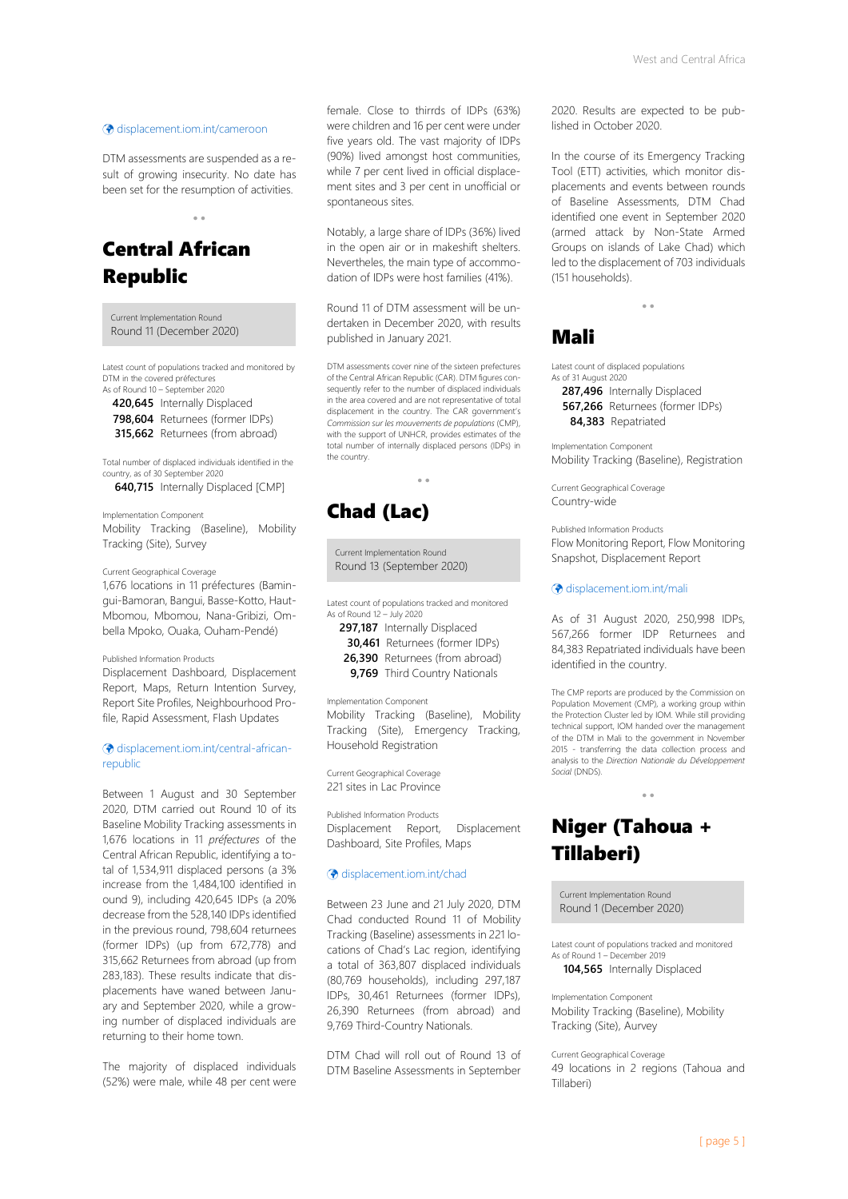#### [displacement.iom.int/cameroon](https://displacement.iom.int/cameroon)

DTM assessments are suspended as a result of growing insecurity. No date has been set for the resumption of activities.

● ●

### Central African Republic

Current Implementation Round Round 11 (December 2020)

Latest count of populations tracked and monitored by DTM in the covered préfectures As of Round 10 – September 2020

**420,645** Internally Displaced **798,604** Returnees (former IDPs) **315,662** Returnees (from abroad)

Total number of displaced individuals identified in the country, as of 30 September 2020

**640,715** Internally Displaced [CMP]

Implementation Component Mobility Tracking (Baseline), Mobility Tracking (Site), Survey

Current Geographical Coverage 1,676 locations in 11 préfectures (Bamingui-Bamoran, Bangui, Basse-Kotto, Haut-Mbomou, Mbomou, Nana-Gribizi, Ombella Mpoko, Ouaka, Ouham-Pendé)

Published Information Products

Displacement Dashboard, Displacement Report, Maps, Return Intention Survey, Report Site Profiles, Neighbourhood Profile, Rapid Assessment, Flash Updates

### [displacement.iom.int/central-african](https://displacement.iom.int/central-african-republic)[republic](https://displacement.iom.int/central-african-republic)

Between 1 August and 30 September 2020, DTM carried out Round 10 of its Baseline Mobility Tracking assessments in 1,676 locations in 11 *préfectures* of the Central African Republic, identifying a total of 1,534,911 displaced persons (a 3% increase from the 1,484,100 identified in ound 9), including 420,645 IDPs (a 20% decrease from the 528,140 IDPs identified in the previous round, 798,604 returnees (former IDPs) (up from 672,778) and 315,662 Returnees from abroad (up from 283,183). These results indicate that displacements have waned between January and September 2020, while a growing number of displaced individuals are returning to their home town.

The majority of displaced individuals (52%) were male, while 48 per cent were

female. Close to thirrds of IDPs (63%) were children and 16 per cent were under five years old. The vast majority of IDPs (90%) lived amongst host communities, while 7 per cent lived in official displacement sites and 3 per cent in unofficial or spontaneous sites.

Notably, a large share of IDPs (36%) lived in the open air or in makeshift shelters. Nevertheles, the main type of accommodation of IDPs were host families (41%).

Round 11 of DTM assessment will be undertaken in December 2020, with results published in January 2021.

DTM assessments cover nine of the sixteen prefectures of the Central African Republic (CAR). DTM figures consequently refer to the number of displaced individuals in the area covered and are not representative of total displacement in the country. The CAR government's *Commission sur les mouvements de populations* (CMP), with the support of UNHCR, provides estimates of the total number of internally displaced persons (IDPs) in the country.

● ●

Chad (Lac)

Current Implementation Round Round 13 (September 2020)

Latest count of populations tracked and monitored As of Round 12 – July 2020

297,187 Internally Displaced

- **30,461** Returnees (former IDPs)
- **26,390** Returnees (from abroad)
- **9,769** Third Country Nationals

Implementation Component Mobility Tracking (Baseline), Mobility Tracking (Site), Emergency Tracking, Household Registration

Current Geographical Coverage 221 sites in Lac Province

Published Information Products Displacement Report, Displacement Dashboard, Site Profiles, Maps

#### [displacement.iom.int/chad](https://displacement.iom.int/chad)

Between 23 June and 21 July 2020, DTM Chad conducted Round 11 of Mobility Tracking (Baseline) assessments in 221 locations of Chad's Lac region, identifying a total of 363,807 displaced individuals (80,769 households), including 297,187 IDPs, 30,461 Returnees (former IDPs), 26,390 Returnees (from abroad) and 9,769 Third-Country Nationals.

DTM Chad will roll out of Round 13 of DTM Baseline Assessments in September 2020. Results are expected to be published in October 2020.

In the course of its Emergency Tracking Tool (ETT) activities, which monitor displacements and events between rounds of Baseline Assessments, DTM Chad identified one event in September 2020 (armed attack by Non-State Armed Groups on islands of Lake Chad) which led to the displacement of 703 individuals (151 households).

● ●

### Mali

Latest count of displaced populations As of 31 August 2020 **287,496** Internally Displaced

**567,266** Returnees (former IDPs)  **84,383** Repatriated

Implementation Component Mobility Tracking (Baseline), Registration

Current Geographical Coverage Country-wide

Published Information Products Flow Monitoring Report, Flow Monitoring Snapshot, Displacement Report

### [displacement.iom.int/mali](https://displacement.iom.int/mali)

As of 31 August 2020, 250,998 IDPs, 567,266 former IDP Returnees and 84,383 Repatriated individuals have been identified in the country.

The CMP reports are produced by the Commission on Population Movement (CMP), a working group within the Protection Cluster led by IOM. While still providing technical support, IOM handed over the management of the DTM in Mali to the government in November 2015 - transferring the data collection process and analysis to the *Direction Nationale du Développement Social* (DNDS).

#### ● ●

### Niger (Tahoua + Tillaberi)

Current Implementation Round Round 1 (December 2020)

Latest count of populations tracked and monitored As of Round 1 – December 2019 **104,565** Internally Displaced

Implementation Component Mobility Tracking (Baseline), Mobility Tracking (Site), Aurvey

Current Geographical Coverage 49 locations in 2 regions (Tahoua and Tillaberi)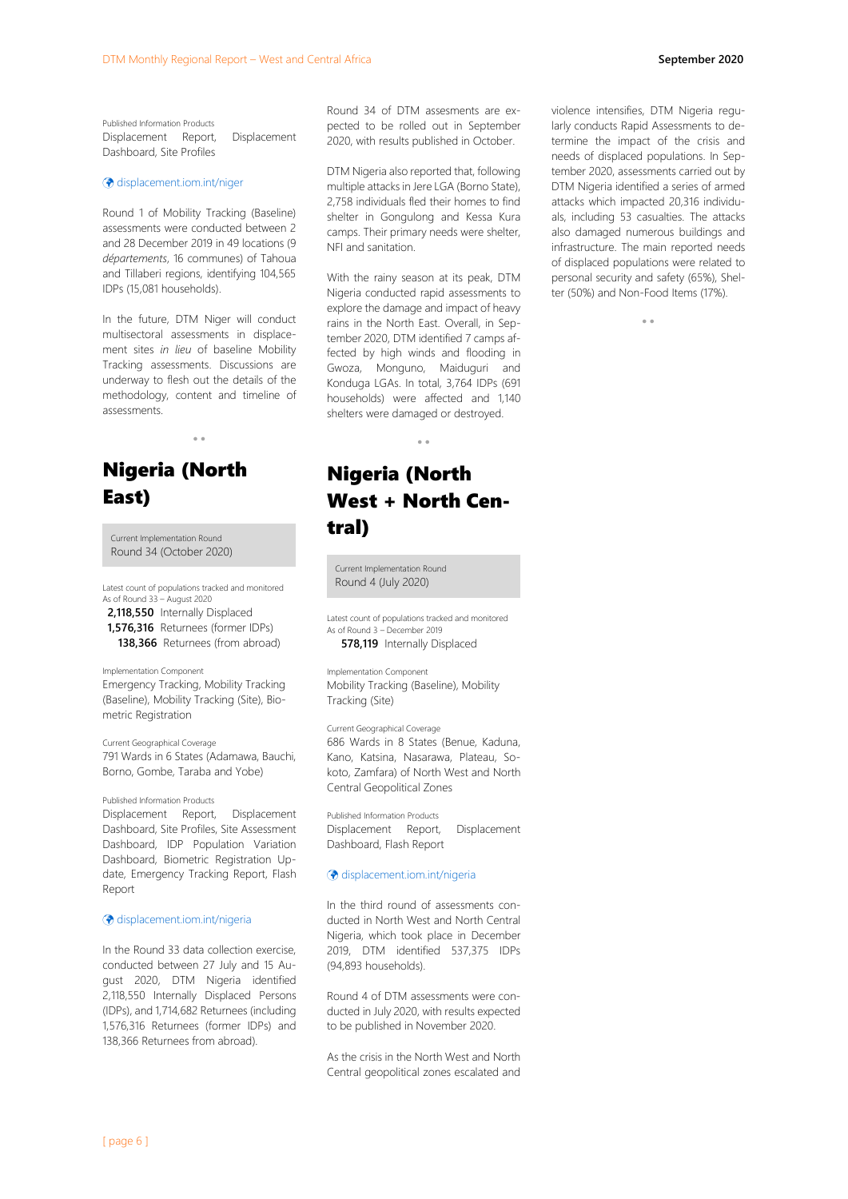Published Information Products Displacement Report, Displacement Dashboard, Site Profiles

#### [displacement.iom.int/niger](https://displacement.iom.int/niger)

Round 1 of Mobility Tracking (Baseline) assessments were conducted between 2 and 28 December 2019 in 49 locations (9 *départements*, 16 communes) of Tahoua and Tillaberi regions, identifying 104,565 IDPs (15,081 households).

In the future, DTM Niger will conduct multisectoral assessments in displacement sites *in lieu* of baseline Mobility Tracking assessments. Discussions are underway to flesh out the details of the methodology, content and timeline of assessments.

● ●

### Nigeria (North East)

Current Implementation Round Round 34 (October 2020)

Latest count of populations tracked and monitored As of Round 33 – August 2020

**2,118,550** Internally Displaced **1,576,316** Returnees (former IDPs)

 **138,366** Returnees (from abroad)

Implementation Component Emergency Tracking, Mobility Tracking (Baseline), Mobility Tracking (Site), Biometric Registration

Current Geographical Coverage 791 Wards in 6 States (Adamawa, Bauchi, Borno, Gombe, Taraba and Yobe)

#### Published Information Products

Displacement Report, Displacement Dashboard, Site Profiles, Site Assessment Dashboard, IDP Population Variation Dashboard, Biometric Registration Update, Emergency Tracking Report, Flash Report

#### [displacement.iom.int/nigeria](https://displacement.iom.int/nigeria)

In the Round 33 data collection exercise, conducted between 27 July and 15 August 2020, DTM Nigeria identified 2,118,550 Internally Displaced Persons (IDPs), and 1,714,682 Returnees (including 1,576,316 Returnees (former IDPs) and 138,366 Returnees from abroad).

Round 34 of DTM assesments are expected to be rolled out in September 2020, with results published in October.

DTM Nigeria also reported that, following multiple attacks in Jere LGA (Borno State), 2,758 individuals fled their homes to find shelter in Gongulong and Kessa Kura camps. Their primary needs were shelter, NFI and sanitation.

With the rainy season at its peak, DTM Nigeria conducted rapid assessments to explore the damage and impact of heavy rains in the North East. Overall, in September 2020, DTM identified 7 camps affected by high winds and flooding in Gwoza, Monguno, Maiduguri and Konduga LGAs. In total, 3,764 IDPs (691 households) were affected and 1,140 shelters were damaged or destroyed.

### Nigeria (North West + North Central)

● ●

Current Implementation Round Round 4 (July 2020)

Latest count of populations tracked and monitored As of Round 3 – December 2019 **578,119** Internally Displaced

Implementation Component Mobility Tracking (Baseline), Mobility Tracking (Site)

Current Geographical Coverage 686 Wards in 8 States (Benue, Kaduna, Kano, Katsina, Nasarawa, Plateau, Sokoto, Zamfara) of North West and North Central Geopolitical Zones

Published Information Products Displacement Report, Displacement Dashboard, Flash Report

#### [displacement.iom.int/nigeria](https://displacement.iom.int/nigeria)

In the third round of assessments conducted in North West and North Central Nigeria, which took place in December 2019, DTM identified 537,375 IDPs (94,893 households).

Round 4 of DTM assessments were conducted in July 2020, with results expected to be published in November 2020.

As the crisis in the North West and North Central geopolitical zones escalated and violence intensifies, DTM Nigeria regularly conducts Rapid Assessments to determine the impact of the crisis and needs of displaced populations. In September 2020, assessments carried out by DTM Nigeria identified a series of armed attacks which impacted 20,316 individuals, including 53 casualties. The attacks also damaged numerous buildings and infrastructure. The main reported needs of displaced populations were related to personal security and safety (65%), Shelter (50%) and Non-Food Items (17%).

● ●